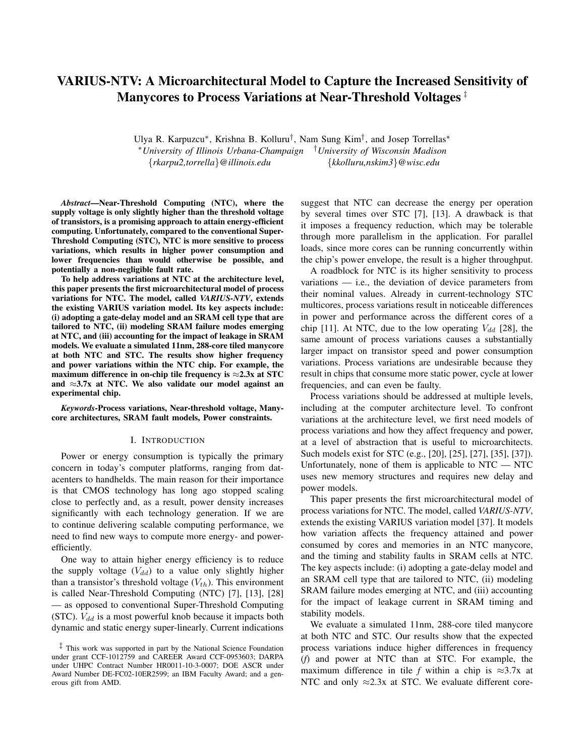# VARIUS-NTV: A Microarchitectural Model to Capture the Increased Sensitivity of Manycores to Process Variations at Near-Threshold Voltages ‡

Ulya R. Karpuzcu∗, Krishna B. Kolluru†, Nam Sung Kim†, and Josep Torrellas∗ ∗*University of Illinois Urbana-Champaign* †*University of Wisconsin Madison* {*rkarpu2,torrella*}*@illinois.edu* {*kkolluru,nskim3*}*@wisc.edu*

*Abstract*—Near-Threshold Computing (NTC), where the supply voltage is only slightly higher than the threshold voltage of transistors, is a promising approach to attain energy-efficient computing. Unfortunately, compared to the conventional Super-Threshold Computing (STC), NTC is more sensitive to process variations, which results in higher power consumption and lower frequencies than would otherwise be possible, and potentially a non-negligible fault rate.

To help address variations at NTC at the architecture level, this paper presents the first microarchitectural model of process variations for NTC. The model, called *VARIUS-NTV*, extends the existing VARIUS variation model. Its key aspects include: (i) adopting a gate-delay model and an SRAM cell type that are tailored to NTC, (ii) modeling SRAM failure modes emerging at NTC, and (iii) accounting for the impact of leakage in SRAM models. We evaluate a simulated 11nm, 288-core tiled manycore at both NTC and STC. The results show higher frequency and power variations within the NTC chip. For example, the maximum difference in on-chip tile frequency is  $\approx 2.3x$  at STC and  $\approx$ 3.7x at NTC. We also validate our model against an experimental chip.

*Keywords*-Process variations, Near-threshold voltage, Manycore architectures, SRAM fault models, Power constraints.

#### I. INTRODUCTION

Power or energy consumption is typically the primary concern in today's computer platforms, ranging from datacenters to handhelds. The main reason for their importance is that CMOS technology has long ago stopped scaling close to perfectly and, as a result, power density increases significantly with each technology generation. If we are to continue delivering scalable computing performance, we need to find new ways to compute more energy- and powerefficiently.

One way to attain higher energy efficiency is to reduce the supply voltage  $(V_{dd})$  to a value only slightly higher than a transistor's threshold voltage  $(V_{th})$ . This environment is called Near-Threshold Computing (NTC) [7], [13], [28] — as opposed to conventional Super-Threshold Computing (STC).  $V_{dd}$  is a most powerful knob because it impacts both dynamic and static energy super-linearly. Current indications suggest that NTC can decrease the energy per operation by several times over STC [7], [13]. A drawback is that it imposes a frequency reduction, which may be tolerable through more parallelism in the application. For parallel loads, since more cores can be running concurrently within the chip's power envelope, the result is a higher throughput.

A roadblock for NTC is its higher sensitivity to process variations — i.e., the deviation of device parameters from their nominal values. Already in current-technology STC multicores, process variations result in noticeable differences in power and performance across the different cores of a chip [11]. At NTC, due to the low operating  $V_{dd}$  [28], the same amount of process variations causes a substantially larger impact on transistor speed and power consumption variations. Process variations are undesirable because they result in chips that consume more static power, cycle at lower frequencies, and can even be faulty.

Process variations should be addressed at multiple levels, including at the computer architecture level. To confront variations at the architecture level, we first need models of process variations and how they affect frequency and power, at a level of abstraction that is useful to microarchitects. Such models exist for STC (e.g., [20], [25], [27], [35], [37]). Unfortunately, none of them is applicable to  $NTC - NTC$ uses new memory structures and requires new delay and power models.

This paper presents the first microarchitectural model of process variations for NTC. The model, called *VARIUS-NTV*, extends the existing VARIUS variation model [37]. It models how variation affects the frequency attained and power consumed by cores and memories in an NTC manycore, and the timing and stability faults in SRAM cells at NTC. The key aspects include: (i) adopting a gate-delay model and an SRAM cell type that are tailored to NTC, (ii) modeling SRAM failure modes emerging at NTC, and (iii) accounting for the impact of leakage current in SRAM timing and stability models.

We evaluate a simulated 11nm, 288-core tiled manycore at both NTC and STC. Our results show that the expected process variations induce higher differences in frequency (*f*) and power at NTC than at STC. For example, the maximum difference in tile *f* within a chip is  $\approx 3.7x$  at NTC and only  $\approx$ 2.3x at STC. We evaluate different core-

 $\frac{1}{x}$  This work was supported in part by the National Science Foundation under grant CCF-1012759 and CAREER Award CCF-0953603; DARPA under UHPC Contract Number HR0011-10-3-0007; DOE ASCR under Award Number DE-FC02-10ER2599; an IBM Faculty Award; and a generous gift from AMD.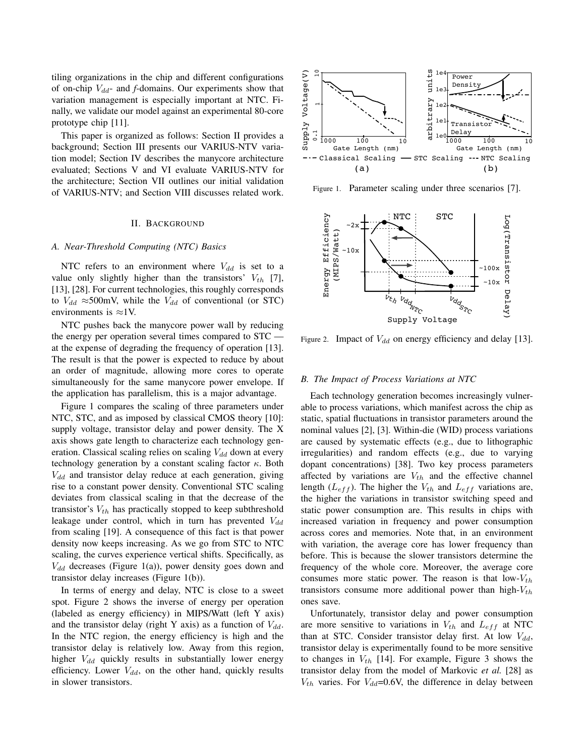tiling organizations in the chip and different configurations of on-chip  $V_{dd}$ - and *f*-domains. Our experiments show that variation management is especially important at NTC. Finally, we validate our model against an experimental 80-core prototype chip [11].

This paper is organized as follows: Section II provides a background; Section III presents our VARIUS-NTV variation model; Section IV describes the manycore architecture evaluated; Sections V and VI evaluate VARIUS-NTV for the architecture; Section VII outlines our initial validation of VARIUS-NTV; and Section VIII discusses related work.

#### II. BACKGROUND

## *A. Near-Threshold Computing (NTC) Basics*

NTC refers to an environment where  $V_{dd}$  is set to a value only slightly higher than the transistors'  $V_{th}$  [7], [13], [28]. For current technologies, this roughly corresponds to  $V_{dd} \approx 500$ mV, while the  $V_{dd}$  of conventional (or STC) environments is  $\approx$ 1V.

NTC pushes back the manycore power wall by reducing the energy per operation several times compared to STC at the expense of degrading the frequency of operation [13]. The result is that the power is expected to reduce by about an order of magnitude, allowing more cores to operate simultaneously for the same manycore power envelope. If the application has parallelism, this is a major advantage.

Figure 1 compares the scaling of three parameters under NTC, STC, and as imposed by classical CMOS theory [10]: supply voltage, transistor delay and power density. The X axis shows gate length to characterize each technology generation. Classical scaling relies on scaling  $V_{dd}$  down at every technology generation by a constant scaling factor  $\kappa$ . Both  $V_{dd}$  and transistor delay reduce at each generation, giving rise to a constant power density. Conventional STC scaling deviates from classical scaling in that the decrease of the transistor's  $V_{th}$  has practically stopped to keep subthreshold leakage under control, which in turn has prevented  $V_{dd}$ from scaling [19]. A consequence of this fact is that power density now keeps increasing. As we go from STC to NTC scaling, the curves experience vertical shifts. Specifically, as  $V_{dd}$  decreases (Figure 1(a)), power density goes down and transistor delay increases (Figure 1(b)).

In terms of energy and delay, NTC is close to a sweet spot. Figure 2 shows the inverse of energy per operation (labeled as energy efficiency) in MIPS/Watt (left Y axis) and the transistor delay (right Y axis) as a function of  $V_{dd}$ . In the NTC region, the energy efficiency is high and the transistor delay is relatively low. Away from this region, higher  $V_{dd}$  quickly results in substantially lower energy efficiency. Lower  $V_{dd}$ , on the other hand, quickly results in slower transistors.



Figure 1. Parameter scaling under three scenarios [7].



Figure 2. Impact of  $V_{dd}$  on energy efficiency and delay [13].

#### *B. The Impact of Process Variations at NTC*

Each technology generation becomes increasingly vulnerable to process variations, which manifest across the chip as static, spatial fluctuations in transistor parameters around the nominal values [2], [3]. Within-die (WID) process variations are caused by systematic effects (e.g., due to lithographic irregularities) and random effects (e.g., due to varying dopant concentrations) [38]. Two key process parameters affected by variations are  $V_{th}$  and the effective channel length ( $L_{eff}$ ). The higher the  $V_{th}$  and  $L_{eff}$  variations are, the higher the variations in transistor switching speed and static power consumption are. This results in chips with increased variation in frequency and power consumption across cores and memories. Note that, in an environment with variation, the average core has lower frequency than before. This is because the slower transistors determine the frequency of the whole core. Moreover, the average core consumes more static power. The reason is that  $low-V_{th}$ transistors consume more additional power than high- $V_{th}$ ones save.

Unfortunately, transistor delay and power consumption are more sensitive to variations in  $V_{th}$  and  $L_{eff}$  at NTC than at STC. Consider transistor delay first. At low  $V_{dd}$ , transistor delay is experimentally found to be more sensitive to changes in  $V_{th}$  [14]. For example, Figure 3 shows the transistor delay from the model of Markovic *et al.* [28] as  $V_{th}$  varies. For  $V_{dd}$ =0.6V, the difference in delay between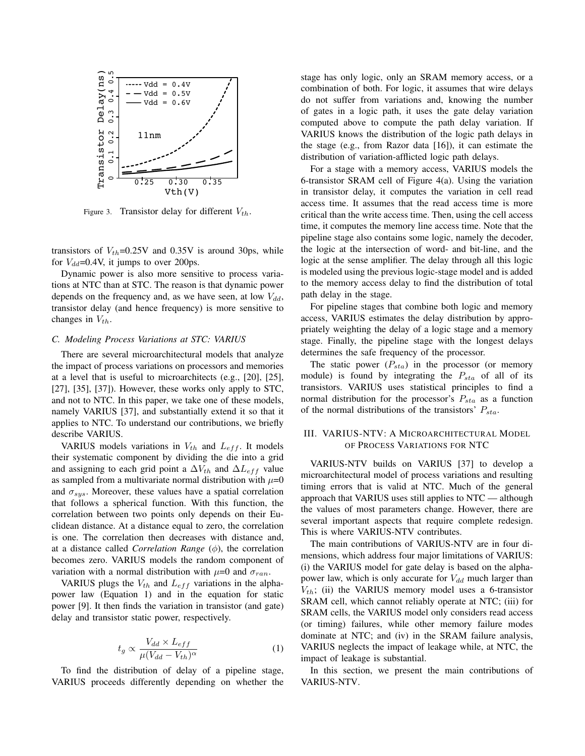

Figure 3. Transistor delay for different  $V_{th}$ .

transistors of  $V_{th}$ =0.25V and 0.35V is around 30ps, while for  $V_{dd}$ =0.4V, it jumps to over 200ps.

Dynamic power is also more sensitive to process variations at NTC than at STC. The reason is that dynamic power depends on the frequency and, as we have seen, at low  $V_{dd}$ , transistor delay (and hence frequency) is more sensitive to changes in  $V_{th}$ .

#### *C. Modeling Process Variations at STC: VARIUS*

There are several microarchitectural models that analyze the impact of process variations on processors and memories at a level that is useful to microarchitects (e.g., [20], [25],  $[27]$ ,  $[35]$ ,  $[37]$ ). However, these works only apply to STC, and not to NTC. In this paper, we take one of these models, namely VARIUS [37], and substantially extend it so that it applies to NTC. To understand our contributions, we briefly describe VARIUS.

VARIUS models variations in  $V_{th}$  and  $L_{eff}$ . It models their systematic component by dividing the die into a grid and assigning to each grid point a  $\Delta V_{th}$  and  $\Delta L_{eff}$  value as sampled from a multivariate normal distribution with  $\mu=0$ and  $\sigma_{sys}$ . Moreover, these values have a spatial correlation that follows a spherical function. With this function, the correlation between two points only depends on their Euclidean distance. At a distance equal to zero, the correlation is one. The correlation then decreases with distance and, at a distance called *Correlation Range* (φ), the correlation becomes zero. VARIUS models the random component of variation with a normal distribution with  $\mu=0$  and  $\sigma_{ran}$ .

VARIUS plugs the  $V_{th}$  and  $L_{eff}$  variations in the alphapower law (Equation 1) and in the equation for static power [9]. It then finds the variation in transistor (and gate) delay and transistor static power, respectively.

$$
t_g \propto \frac{V_{dd} \times L_{eff}}{\mu (V_{dd} - V_{th})^{\alpha}} \tag{1}
$$

To find the distribution of delay of a pipeline stage, VARIUS proceeds differently depending on whether the stage has only logic, only an SRAM memory access, or a combination of both. For logic, it assumes that wire delays do not suffer from variations and, knowing the number of gates in a logic path, it uses the gate delay variation computed above to compute the path delay variation. If VARIUS knows the distribution of the logic path delays in the stage (e.g., from Razor data [16]), it can estimate the distribution of variation-afflicted logic path delays.

For a stage with a memory access, VARIUS models the 6-transistor SRAM cell of Figure 4(a). Using the variation in transistor delay, it computes the variation in cell read access time. It assumes that the read access time is more critical than the write access time. Then, using the cell access time, it computes the memory line access time. Note that the pipeline stage also contains some logic, namely the decoder, the logic at the intersection of word- and bit-line, and the logic at the sense amplifier. The delay through all this logic is modeled using the previous logic-stage model and is added to the memory access delay to find the distribution of total path delay in the stage.

For pipeline stages that combine both logic and memory access, VARIUS estimates the delay distribution by appropriately weighting the delay of a logic stage and a memory stage. Finally, the pipeline stage with the longest delays determines the safe frequency of the processor.

The static power  $(P_{sta})$  in the processor (or memory module) is found by integrating the  $P_{sta}$  of all of its transistors. VARIUS uses statistical principles to find a normal distribution for the processor's  $P_{sta}$  as a function of the normal distributions of the transistors'  $P_{sta}$ .

# III. VARIUS-NTV: A MICROARCHITECTURAL MODEL OF PROCESS VARIATIONS FOR NTC

VARIUS-NTV builds on VARIUS [37] to develop a microarchitectural model of process variations and resulting timing errors that is valid at NTC. Much of the general approach that VARIUS uses still applies to NTC — although the values of most parameters change. However, there are several important aspects that require complete redesign. This is where VARIUS-NTV contributes.

The main contributions of VARIUS-NTV are in four dimensions, which address four major limitations of VARIUS: (i) the VARIUS model for gate delay is based on the alphapower law, which is only accurate for  $V_{dd}$  much larger than  $V_{th}$ ; (ii) the VARIUS memory model uses a 6-transistor SRAM cell, which cannot reliably operate at NTC; (iii) for SRAM cells, the VARIUS model only considers read access (or timing) failures, while other memory failure modes dominate at NTC; and (iv) in the SRAM failure analysis, VARIUS neglects the impact of leakage while, at NTC, the impact of leakage is substantial.

In this section, we present the main contributions of VARIUS-NTV.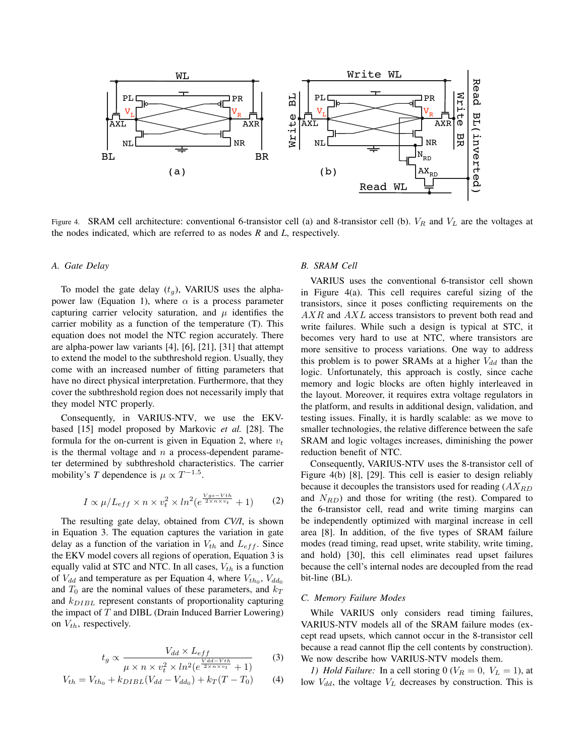

Figure 4. SRAM cell architecture: conventional 6-transistor cell (a) and 8-transistor cell (b).  $V_R$  and  $V_L$  are the voltages at the nodes indicated, which are referred to as nodes *R* and *L*, respectively.

#### *A. Gate Delay*

To model the gate delay  $(t_q)$ , VARIUS uses the alphapower law (Equation 1), where  $\alpha$  is a process parameter capturing carrier velocity saturation, and  $\mu$  identifies the carrier mobility as a function of the temperature (T). This equation does not model the NTC region accurately. There are alpha-power law variants [4], [6], [21], [31] that attempt to extend the model to the subthreshold region. Usually, they come with an increased number of fitting parameters that have no direct physical interpretation. Furthermore, that they cover the subthreshold region does not necessarily imply that they model NTC properly.

Consequently, in VARIUS-NTV, we use the EKVbased [15] model proposed by Markovic *et al.* [28]. The formula for the on-current is given in Equation 2, where  $v_t$ is the thermal voltage and  $n$  a process-dependent parameter determined by subthreshold characteristics. The carrier mobility's *T* dependence is  $\mu \propto T^{-1.5}$ .

$$
I \propto \mu / L_{eff} \times n \times v_t^2 \times ln^2(e^{\frac{Vgs - Vth}{2 \times n \times v_t}} + 1)
$$
 (2)

The resulting gate delay, obtained from *CV/I*, is shown in Equation 3. The equation captures the variation in gate delay as a function of the variation in  $V_{th}$  and  $L_{eff}$ . Since the EKV model covers all regions of operation, Equation 3 is equally valid at STC and NTC. In all cases,  $V_{th}$  is a function of  $V_{dd}$  and temperature as per Equation 4, where  $V_{th_0}$ ,  $V_{dd_0}$ and  $T_0$  are the nominal values of these parameters, and  $k_T$ and  $k_{DIBL}$  represent constants of proportionality capturing the impact of  $T$  and DIBL (Drain Induced Barrier Lowering) on  $V_{th}$ , respectively.

$$
t_g \propto \frac{V_{dd} \times L_{eff}}{\mu \times n \times v_t^2 \times ln^2(e^{\frac{V_{dd} - Vth}{2 \times n \times v_t}} + 1)}
$$
(3)

$$
V_{th} = V_{th_0} + k_{DIBL}(V_{dd} - V_{dd_0}) + k_T(T - T_0)
$$
 (4)

## *B. SRAM Cell*

VARIUS uses the conventional 6-transistor cell shown in Figure 4(a). This cell requires careful sizing of the transistors, since it poses conflicting requirements on the  $AXR$  and  $AXL$  access transistors to prevent both read and write failures. While such a design is typical at STC, it becomes very hard to use at NTC, where transistors are more sensitive to process variations. One way to address this problem is to power SRAMs at a higher  $V_{dd}$  than the logic. Unfortunately, this approach is costly, since cache memory and logic blocks are often highly interleaved in the layout. Moreover, it requires extra voltage regulators in the platform, and results in additional design, validation, and testing issues. Finally, it is hardly scalable: as we move to smaller technologies, the relative difference between the safe SRAM and logic voltages increases, diminishing the power reduction benefit of NTC.

Consequently, VARIUS-NTV uses the 8-transistor cell of Figure 4(b) [8], [29]. This cell is easier to design reliably because it decouples the transistors used for reading  $(AX_{RD})$ and  $N_{RD}$ ) and those for writing (the rest). Compared to the 6-transistor cell, read and write timing margins can be independently optimized with marginal increase in cell area [8]. In addition, of the five types of SRAM failure modes (read timing, read upset, write stability, write timing, and hold) [30], this cell eliminates read upset failures because the cell's internal nodes are decoupled from the read bit-line (BL).

## *C. Memory Failure Modes*

While VARIUS only considers read timing failures, VARIUS-NTV models all of the SRAM failure modes (except read upsets, which cannot occur in the 8-transistor cell because a read cannot flip the cell contents by construction). We now describe how VARIUS-NTV models them.

*1) Hold Failure:* In a cell storing 0 ( $V_R = 0$ ,  $V_L = 1$ ), at low  $V_{dd}$ , the voltage  $V_L$  decreases by construction. This is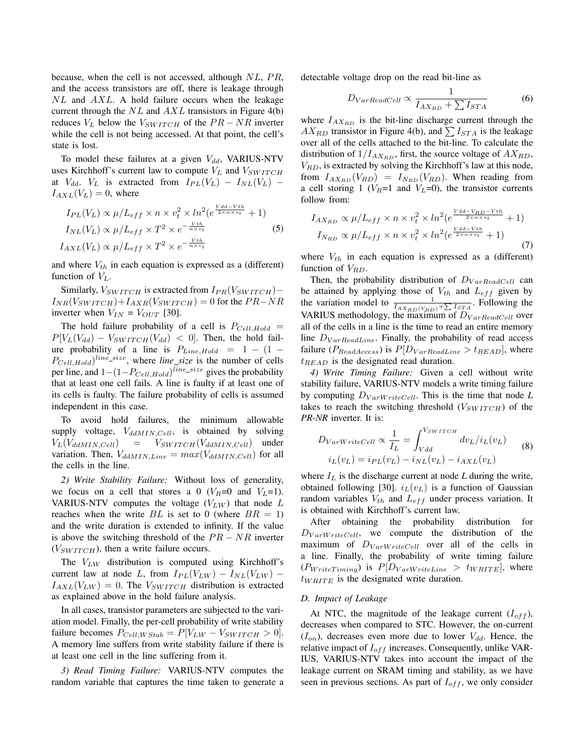because, when the cell is not accessed, although  $NL$ ,  $PR$ , and the access transistors are off, there is leakage through  $NL$  and  $AXL$ . A hold failure occurs when the leakage current through the  $NL$  and  $AXL$  transistors in Figure 4(b) reduces  $V_L$  below the  $V_{SWITCH}$  of the  $PR - NR$  inverter while the cell is not being accessed. At that point, the cell's state is lost.

To model these failures at a given  $V_{dd}$ , VARIUS-NTV uses Kirchhoff's current law to compute  $V_L$  and  $V_{SWITCH}$ at  $V_{dd}$ .  $V_L$  is extracted from  $I_{PL}(V_L) - I_{NL}(V_L)$  –  $I_{AXL}(V_L) = 0$ , where

$$
I_{PL}(V_L) \propto \mu / L_{eff} \times n \times v_t^2 \times ln^2(e^{\frac{V d d - V th}{2 \times n \times v_t}} + 1)
$$
  
\n
$$
I_{NL}(V_L) \propto \mu / L_{eff} \times T^2 \times e^{-\frac{V th}{n \times v_t}}
$$
  
\n
$$
I_{AXL}(V_L) \propto \mu / L_{eff} \times T^2 \times e^{-\frac{V th}{n \times v_t}}
$$
\n(5)

and where  $V_{th}$  in each equation is expressed as a (different) function of  $V_L$ .

Similarly,  $V_{SWITCH}$  is extracted from  $I_{PR}(V_{SWITCH}) I_{NR}(V_{SWITCH})+I_{AXR}(V_{SWITCH})=0$  for the  $PR-NR$ inverter when  $V_{IN} = V_{OUT}$  [30].

The hold failure probability of a cell is  $P_{Cell, Hold}$  =  $P[V_L(V_{dd}) - V_{SWITCH}(V_{dd})] < 0$ . Then, the hold failure probability of a line is  $P_{Line,Hold}$  = 1 – (1 –  $P_{Cell,Hold}$ <sup>line\_size</sup>, where *line\_size* is the number of cells per line, and  $1-(1-P_{Cell,Hold})^{line\_size}$  gives the probability that at least one cell fails. A line is faulty if at least one of its cells is faulty. The failure probability of cells is assumed independent in this case.

To avoid hold failures, the minimum allowable supply voltage,  $V_{dd MIN,Cell}$ , is obtained by solving  $V_L(V_{ddMIN,Cell})$  =  $V_{SWITCH}(V_{ddMIN,Cell})$  under variation. Then,  $V_{ddMIN,Line} = max(V_{ddMIN,Cell})$  for all the cells in the line.

*2) Write Stability Failure:* Without loss of generality, we focus on a cell that stores a 0 ( $V_R$ =0 and  $V_L$ =1). VARIUS-NTV computes the voltage  $(V_{LW})$  that node L reaches when the write  $BL$  is set to 0 (where  $BR = 1$ ) and the write duration is extended to infinity. If the value is above the switching threshold of the  $PR - NR$  inverter  $(V_{SWITCH})$ , then a write failure occurs.

The  $V_{LW}$  distribution is computed using Kirchhoff's current law at node L, from  $I_{PL}(V_{LW}) - I_{NL}(V_{LW})$  –  $I_{AXL}(V_{LW}) = 0$ . The  $V_{SWITCH}$  distribution is extracted as explained above in the hold failure analysis.

In all cases, transistor parameters are subjected to the variation model. Finally, the per-cell probability of write stability failure becomes  $P_{Cell, WStab} = P[V_{LW} - V_{SWITCH} > 0].$ A memory line suffers from write stability failure if there is at least one cell in the line suffering from it.

*3) Read Timing Failure:* VARIUS-NTV computes the random variable that captures the time taken to generate a detectable voltage drop on the read bit-line as

$$
D_{VarReadCell} \propto \frac{1}{I_{AX_{RD}} + \sum I_{STA}} \tag{6}
$$

where  $I_{AX_{RD}}$  is the bit-line discharge current through the  $AX_{RD}$  transistor in Figure 4(b), and  $\sum I_{STA}$  is the leakage over all of the cells attached to the bit-line. To calculate the distribution of  $1/I_{AX_{RD}}$ , first, the source voltage of  $AX_{RD}$ ,  $V_{RD}$ , is extracted by solving the Kirchhoff's law at this node, from  $I_{AX_{RD}}(V_{RD}) = I_{N_{RD}}(V_{RD})$ . When reading from a cell storing 1 ( $V_R$ =1 and  $V_L$ =0), the transistor currents follow from:

$$
I_{AX_{RD}} \propto \mu/L_{eff} \times n \times v_t^2 \times ln^2(e^{\frac{Vdd - V_{RD} - Vth}{2 \times n \times v_t}} + 1)
$$
  
\n
$$
I_{N_{RD}} \propto \mu/L_{eff} \times n \times v_t^2 \times ln^2(e^{\frac{Vdd - Vth}{2 \times n \times v_t}} + 1)
$$
\n(7)

where  $V_{th}$  in each equation is expressed as a (different) function of  $V_{RD}$ .

Then, the probability distribution of  $D_{VarReadCell}$  can be attained by applying those of  $V_{th}$  and  $L_{eff}$  given by the variation model to  $\frac{1}{I_{AX_{RD}(V_{RD})} + \sum_{S T_A} I_{STA}}$ . Following the VARIUS methodology, the maximum of  $D_{VarReadCell}$  over all of the cells in a line is the time to read an entire memory line  $D_{VarReadLine}$ . Finally, the probability of read access failure ( $P_{ReadAccess}$ ) is  $P[D_{VarReadLine} > t_{READ}]$ , where  $t_{READ}$  is the designated read duration.

*4) Write Timing Failure:* Given a cell without write stability failure, VARIUS-NTV models a write timing failure by computing  $D_{VarWriteCell}$ . This is the time that node *L* takes to reach the switching threshold  $(V_{SWITCH})$  of the *PR*-*NR* inverter. It is:

$$
D_{VarWriteCell} \propto \frac{1}{I_L} = \int_{Vdd}^{V_{SWITCH}} dv_L / i_L(v_L)
$$
  
\n
$$
i_L(v_L) = i_{PL}(v_L) - i_{NL}(v_L) - i_{AXL}(v_L)
$$
 (8)

where  $I_L$  is the discharge current at node  $L$  during the write, obtained following [30].  $i_L(v_L)$  is a function of Gaussian random variables  $V_{th}$  and  $L_{eff}$  under process variation. It is obtained with Kirchhoff's current law.

After obtaining the probability distribution for  $D_{VarWriteCell}$ , we compute the distribution of the maximum of  $D_{VarWriteCell}$  over all of the cells in a line. Finally, the probability of write timing failure  $(P_{WriteTiming})$  is  $P[D_{VarWriteLine} > t_{WRITE}]$ , where  $t_{WRITE}$  is the designated write duration.

#### *D. Impact of Leakage*

At NTC, the magnitude of the leakage current  $(I_{off})$ , decreases when compared to STC. However, the on-current  $(I_{on})$ , decreases even more due to lower  $V_{dd}$ . Hence, the relative impact of  $I_{off}$  increases. Consequently, unlike VAR-IUS, VARIUS-NTV takes into account the impact of the leakage current on SRAM timing and stability, as we have seen in previous sections. As part of  $I_{off}$ , we only consider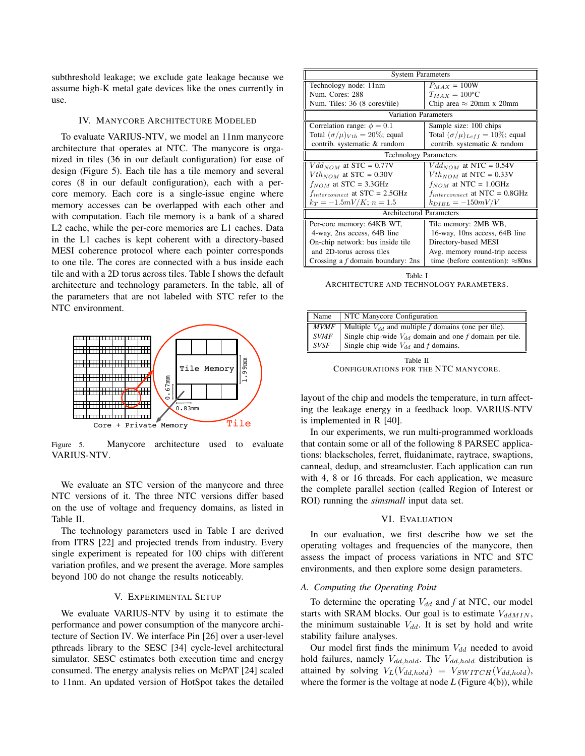subthreshold leakage; we exclude gate leakage because we assume high-K metal gate devices like the ones currently in use.

## IV. MANYCORE ARCHITECTURE MODELED

To evaluate VARIUS-NTV, we model an 11nm manycore architecture that operates at NTC. The manycore is organized in tiles (36 in our default configuration) for ease of design (Figure 5). Each tile has a tile memory and several cores (8 in our default configuration), each with a percore memory. Each core is a single-issue engine where memory accesses can be overlapped with each other and with computation. Each tile memory is a bank of a shared L2 cache, while the per-core memories are L1 caches. Data in the L1 caches is kept coherent with a directory-based MESI coherence protocol where each pointer corresponds to one tile. The cores are connected with a bus inside each tile and with a 2D torus across tiles. Table I shows the default architecture and technology parameters. In the table, all of the parameters that are not labeled with STC refer to the NTC environment.



Figure 5. Manycore architecture used to evaluate VARIUS-NTV.

We evaluate an STC version of the manycore and three NTC versions of it. The three NTC versions differ based on the use of voltage and frequency domains, as listed in Table II.

The technology parameters used in Table I are derived from ITRS [22] and projected trends from industry. Every single experiment is repeated for 100 chips with different variation profiles, and we present the average. More samples beyond 100 do not change the results noticeably.

## V. EXPERIMENTAL SETUP

We evaluate VARIUS-NTV by using it to estimate the performance and power consumption of the manycore architecture of Section IV. We interface Pin [26] over a user-level pthreads library to the SESC [34] cycle-level architectural simulator. SESC estimates both execution time and energy consumed. The energy analysis relies on McPAT [24] scaled to 11nm. An updated version of HotSpot takes the detailed

| <b>System Parameters</b>                  |                                            |  |
|-------------------------------------------|--------------------------------------------|--|
| Technology node: 11nm                     | $P_{MAX} = 100W$                           |  |
| Num. Cores: 288                           | $T_{MAX} = 100$ <sup>o</sup> C             |  |
| Num. Tiles: 36 (8 cores/tile)             | Chip area $\approx$ 20mm x 20mm            |  |
| Variation Parameters                      |                                            |  |
| Correlation range: $\phi = 0.1$           | Sample size: 100 chips                     |  |
| Total $(\sigma/\mu)_{Vth} = 20\%$ ; equal | Total $(\sigma/\mu)_{Left} = 10\%$ ; equal |  |
| contrib. systematic & random              | contrib. systematic & random               |  |
| <b>Technology Parameters</b>              |                                            |  |
| $Vdd_{NOM}$ at STC = 0.77V                | $Vdd_{NOM}$ at NTC = 0.54V                 |  |
| $Vth_{NOM}$ at STC = 0.30V                | $Vth_{NOM}$ at NTC = 0.33V                 |  |
| $f_{NOM}$ at STC = 3.3GHz                 | $f_{NOM}$ at NTC = 1.0GHz                  |  |
| $f_{interconnect}$ at STC = 2.5GHz        | $f_{interconnect}$ at NTC = 0.8GHz         |  |
| $k_T = -1.5mV/K$ ; $n = 1.5$              | $k_{DIBL} = -150mV/V$                      |  |
| <b>Architectural Parameters</b>           |                                            |  |
| Per-core memory: 64KB WT,                 | Tile memory: 2MB WB,                       |  |
| 4-way, 2ns access, 64B line               | 16-way, 10ns access, 64B line              |  |
| On-chip network: bus inside tile          | Directory-based MESI                       |  |
| and 2D-torus across tiles                 | Avg. memory round-trip access              |  |
| Crossing a $f$ domain boundary: 2ns       | time (before contention): $\approx 80$ ns  |  |

Table I ARCHITECTURE AND TECHNOLOGY PARAMETERS.

| $\parallel$ Name | NTC Manycore Configuration                                  |
|------------------|-------------------------------------------------------------|
| $\parallel$ MVMF | Multiple $V_{dd}$ and multiple f domains (one per tile).    |
| $\parallel$ SVMF | Single chip-wide $V_{dd}$ domain and one f domain per tile. |
| $ $ SVSF         | Single chip-wide $V_{dd}$ and f domains.                    |

Table II CONFIGURATIONS FOR THE NTC MANYCORE.

layout of the chip and models the temperature, in turn affecting the leakage energy in a feedback loop. VARIUS-NTV is implemented in R [40].

In our experiments, we run multi-programmed workloads that contain some or all of the following 8 PARSEC applications: blackscholes, ferret, fluidanimate, raytrace, swaptions, canneal, dedup, and streamcluster. Each application can run with 4, 8 or 16 threads. For each application, we measure the complete parallel section (called Region of Interest or ROI) running the *simsmall* input data set.

#### VI. EVALUATION

In our evaluation, we first describe how we set the operating voltages and frequencies of the manycore, then assess the impact of process variations in NTC and STC environments, and then explore some design parameters.

## *A. Computing the Operating Point*

To determine the operating  $V_{dd}$  and  $f$  at NTC, our model starts with SRAM blocks. Our goal is to estimate  $V_{ddMIN}$ , the minimum sustainable  $V_{dd}$ . It is set by hold and write stability failure analyses.

Our model first finds the minimum  $V_{dd}$  needed to avoid hold failures, namely  $V_{dd,hold}$ . The  $V_{dd,hold}$  distribution is attained by solving  $V_L(V_{dd,hold}) = V_{SWITCH}(V_{dd,hold}),$ where the former is the voltage at node *L* (Figure 4(b)), while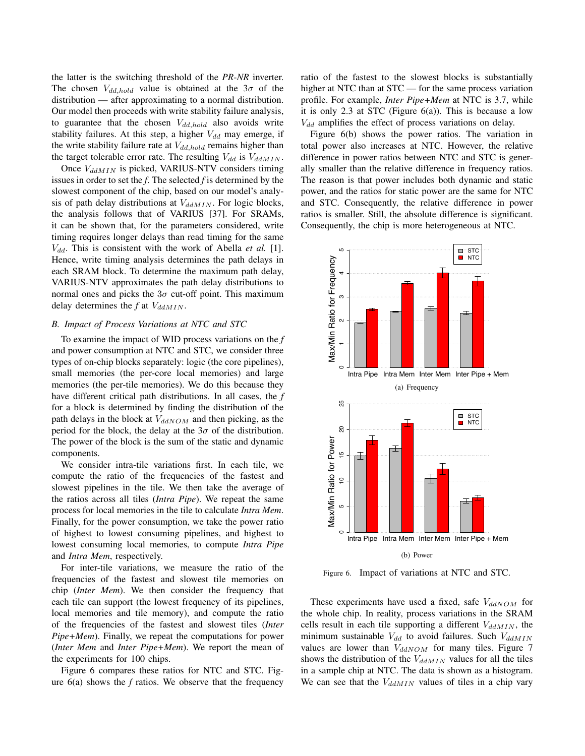the latter is the switching threshold of the *PR*-*NR* inverter. The chosen  $V_{dd,hold}$  value is obtained at the  $3\sigma$  of the distribution — after approximating to a normal distribution. Our model then proceeds with write stability failure analysis, to guarantee that the chosen  $V_{dd,hold}$  also avoids write stability failures. At this step, a higher  $V_{dd}$  may emerge, if the write stability failure rate at  $V_{dd,hold}$  remains higher than the target tolerable error rate. The resulting  $V_{dd}$  is  $V_{dd MIN}$ .

Once  $V_{ddMIN}$  is picked, VARIUS-NTV considers timing issues in order to set the *f*. The selected *f* is determined by the slowest component of the chip, based on our model's analysis of path delay distributions at  $V_{dd M IN}$ . For logic blocks, the analysis follows that of VARIUS [37]. For SRAMs, it can be shown that, for the parameters considered, write timing requires longer delays than read timing for the same  $V_{dd}$ . This is consistent with the work of Abella *et al.* [1]. Hence, write timing analysis determines the path delays in each SRAM block. To determine the maximum path delay, VARIUS-NTV approximates the path delay distributions to normal ones and picks the  $3\sigma$  cut-off point. This maximum delay determines the  $f$  at  $V_{ddMIN}$ .

#### *B. Impact of Process Variations at NTC and STC*

To examine the impact of WID process variations on the *f* and power consumption at NTC and STC, we consider three types of on-chip blocks separately: logic (the core pipelines), small memories (the per-core local memories) and large memories (the per-tile memories). We do this because they have different critical path distributions. In all cases, the *f* for a block is determined by finding the distribution of the path delays in the block at  $V_{ddNOM}$  and then picking, as the period for the block, the delay at the  $3\sigma$  of the distribution. The power of the block is the sum of the static and dynamic components.

We consider intra-tile variations first. In each tile, we compute the ratio of the frequencies of the fastest and slowest pipelines in the tile. We then take the average of the ratios across all tiles (*Intra Pipe*). We repeat the same process for local memories in the tile to calculate *Intra Mem*. Finally, for the power consumption, we take the power ratio of highest to lowest consuming pipelines, and highest to lowest consuming local memories, to compute *Intra Pipe* and *Intra Mem*, respectively.

For inter-tile variations, we measure the ratio of the frequencies of the fastest and slowest tile memories on chip (*Inter Mem*). We then consider the frequency that each tile can support (the lowest frequency of its pipelines, local memories and tile memory), and compute the ratio of the frequencies of the fastest and slowest tiles (*Inter Pipe+Mem*). Finally, we repeat the computations for power (*Inter Mem* and *Inter Pipe+Mem*). We report the mean of the experiments for 100 chips.

Figure 6 compares these ratios for NTC and STC. Figure 6(a) shows the *f* ratios. We observe that the frequency ratio of the fastest to the slowest blocks is substantially higher at NTC than at STC — for the same process variation profile. For example, *Inter Pipe+Mem* at NTC is 3.7, while it is only 2.3 at STC (Figure  $6(a)$ ). This is because a low  $V_{dd}$  amplifies the effect of process variations on delay.

Figure 6(b) shows the power ratios. The variation in total power also increases at NTC. However, the relative difference in power ratios between NTC and STC is generally smaller than the relative difference in frequency ratios. The reason is that power includes both dynamic and static power, and the ratios for static power are the same for NTC and STC. Consequently, the relative difference in power ratios is smaller. Still, the absolute difference is significant. Consequently, the chip is more heterogeneous at NTC.



Figure 6. Impact of variations at NTC and STC.

These experiments have used a fixed, safe  $V_{ddNOM}$  for the whole chip. In reality, process variations in the SRAM cells result in each tile supporting a different  $V_{ddMIN}$ , the minimum sustainable  $V_{dd}$  to avoid failures. Such  $V_{ddMIN}$ values are lower than  $V_{ddNOM}$  for many tiles. Figure 7 shows the distribution of the  $V_{ddMIN}$  values for all the tiles in a sample chip at NTC. The data is shown as a histogram. We can see that the  $V_{ddMIN}$  values of tiles in a chip vary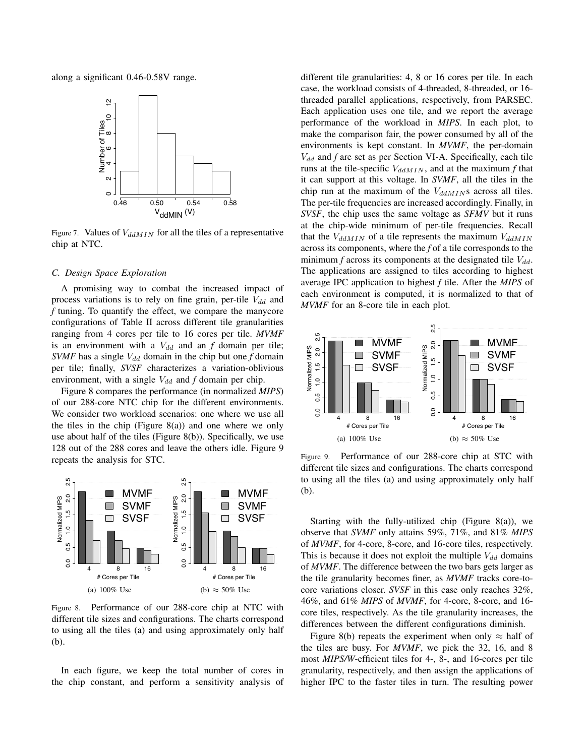along a significant 0.46-0.58V range.



Figure 7. Values of  $V_{ddMIN}$  for all the tiles of a representative chip at NTC.

#### *C. Design Space Exploration*

A promising way to combat the increased impact of process variations is to rely on fine grain, per-tile  $V_{dd}$  and *f* tuning. To quantify the effect, we compare the manycore configurations of Table II across different tile granularities ranging from 4 cores per tile to 16 cores per tile. *MVMF* is an environment with a  $V_{dd}$  and an  $f$  domain per tile; *SVMF* has a single  $V_{dd}$  domain in the chip but one  $f$  domain per tile; finally, *SVSF* characterizes a variation-oblivious environment, with a single  $V_{dd}$  and *f* domain per chip.

Figure 8 compares the performance (in normalized *MIPS*) of our 288-core NTC chip for the different environments. We consider two workload scenarios: one where we use all the tiles in the chip (Figure  $8(a)$ ) and one where we only use about half of the tiles (Figure 8(b)). Specifically, we use 128 out of the 288 cores and leave the others idle. Figure 9 repeats the analysis for STC.



Figure 8. Performance of our 288-core chip at NTC with different tile sizes and configurations. The charts correspond to using all the tiles (a) and using approximately only half (b).

In each figure, we keep the total number of cores in the chip constant, and perform a sensitivity analysis of different tile granularities: 4, 8 or 16 cores per tile. In each case, the workload consists of 4-threaded, 8-threaded, or 16 threaded parallel applications, respectively, from PARSEC. Each application uses one tile, and we report the average performance of the workload in *MIPS*. In each plot, to make the comparison fair, the power consumed by all of the environments is kept constant. In *MVMF*, the per-domain  $V_{dd}$  and  $f$  are set as per Section VI-A. Specifically, each tile runs at the tile-specific  $V_{dd MIN}$ , and at the maximum  $f$  that it can support at this voltage. In *SVMF*, all the tiles in the chip run at the maximum of the  $V_{ddMIN}$ s across all tiles. The per-tile frequencies are increased accordingly. Finally, in *SVSF*, the chip uses the same voltage as *SFMV* but it runs at the chip-wide minimum of per-tile frequencies. Recall that the  $V_{dd M IN}$  of a tile represents the maximum  $V_{dd M IN}$ across its components, where the *f* of a tile corresponds to the minimum  $f$  across its components at the designated tile  $V_{dd}$ . The applications are assigned to tiles according to highest average IPC application to highest *f* tile. After the *MIPS* of each environment is computed, it is normalized to that of *MVMF* for an 8-core tile in each plot.



Figure 9. Performance of our 288-core chip at STC with different tile sizes and configurations. The charts correspond to using all the tiles (a) and using approximately only half (b).

Starting with the fully-utilized chip (Figure 8(a)), we observe that *SVMF* only attains 59%, 71%, and 81% *MIPS* of *MVMF*, for 4-core, 8-core, and 16-core tiles, respectively. This is because it does not exploit the multiple  $V_{dd}$  domains of *MVMF*. The difference between the two bars gets larger as the tile granularity becomes finer, as *MVMF* tracks core-tocore variations closer. *SVSF* in this case only reaches 32%, 46%, and 61% *MIPS* of *MVMF*, for 4-core, 8-core, and 16 core tiles, respectively. As the tile granularity increases, the differences between the different configurations diminish.

Figure 8(b) repeats the experiment when only  $\approx$  half of the tiles are busy. For *MVMF*, we pick the 32, 16, and 8 most *MIPS/W*-efficient tiles for 4-, 8-, and 16-cores per tile granularity, respectively, and then assign the applications of higher IPC to the faster tiles in turn. The resulting power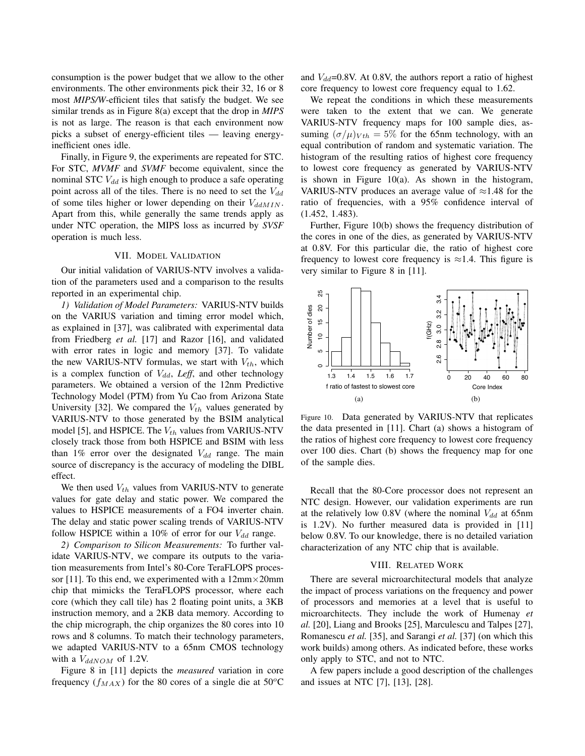consumption is the power budget that we allow to the other environments. The other environments pick their 32, 16 or 8 most *MIPS/W*-efficient tiles that satisfy the budget. We see similar trends as in Figure 8(a) except that the drop in *MIPS* is not as large. The reason is that each environment now picks a subset of energy-efficient tiles — leaving energyinefficient ones idle.

Finally, in Figure 9, the experiments are repeated for STC. For STC, *MVMF* and *SVMF* become equivalent, since the nominal STC  $V_{dd}$  is high enough to produce a safe operating point across all of the tiles. There is no need to set the  $V_{dd}$ of some tiles higher or lower depending on their  $V_{ddMIN}$ . Apart from this, while generally the same trends apply as under NTC operation, the MIPS loss as incurred by *SVSF* operation is much less.

## VII. MODEL VALIDATION

Our initial validation of VARIUS-NTV involves a validation of the parameters used and a comparison to the results reported in an experimental chip.

*1) Validation of Model Parameters:* VARIUS-NTV builds on the VARIUS variation and timing error model which, as explained in [37], was calibrated with experimental data from Friedberg *et al.* [17] and Razor [16], and validated with error rates in logic and memory [37]. To validate the new VARIUS-NTV formulas, we start with  $V_{th}$ , which is a complex function of  $V_{dd}$ , *Leff*, and other technology parameters. We obtained a version of the 12nm Predictive Technology Model (PTM) from Yu Cao from Arizona State University [32]. We compared the  $V_{th}$  values generated by VARIUS-NTV to those generated by the BSIM analytical model [5], and HSPICE. The  $V_{th}$  values from VARIUS-NTV closely track those from both HSPICE and BSIM with less than 1% error over the designated  $V_{dd}$  range. The main source of discrepancy is the accuracy of modeling the DIBL effect.

We then used  $V_{th}$  values from VARIUS-NTV to generate values for gate delay and static power. We compared the values to HSPICE measurements of a FO4 inverter chain. The delay and static power scaling trends of VARIUS-NTV follow HSPICE within a 10% of error for our  $V_{dd}$  range.

*2) Comparison to Silicon Measurements:* To further validate VARIUS-NTV, we compare its outputs to the variation measurements from Intel's 80-Core TeraFLOPS processor [11]. To this end, we experimented with a  $12mm \times 20mm$ chip that mimicks the TeraFLOPS processor, where each core (which they call tile) has 2 floating point units, a 3KB instruction memory, and a 2KB data memory. According to the chip micrograph, the chip organizes the 80 cores into 10 rows and 8 columns. To match their technology parameters, we adapted VARIUS-NTV to a 65nm CMOS technology with a  $V_{ddNOM}$  of 1.2V.

Figure 8 in [11] depicts the *measured* variation in core frequency  $(f_{MAX})$  for the 80 cores of a single die at 50°C and  $V_{dd}$ =0.8V. At 0.8V, the authors report a ratio of highest core frequency to lowest core frequency equal to 1.62.

We repeat the conditions in which these measurements were taken to the extent that we can. We generate VARIUS-NTV frequency maps for 100 sample dies, assuming  $(\sigma/\mu)_{Vth} = 5\%$  for the 65nm technology, with an equal contribution of random and systematic variation. The histogram of the resulting ratios of highest core frequency to lowest core frequency as generated by VARIUS-NTV is shown in Figure  $10(a)$ . As shown in the histogram, VARIUS-NTV produces an average value of  $\approx$ 1.48 for the ratio of frequencies, with a 95% confidence interval of (1.452, 1.483).

Further, Figure 10(b) shows the frequency distribution of the cores in one of the dies, as generated by VARIUS-NTV at 0.8V. For this particular die, the ratio of highest core frequency to lowest core frequency is  $\approx$ 1.4. This figure is very similar to Figure 8 in [11].



Figure 10. Data generated by VARIUS-NTV that replicates the data presented in [11]. Chart (a) shows a histogram of the ratios of highest core frequency to lowest core frequency over 100 dies. Chart (b) shows the frequency map for one of the sample dies.

Recall that the 80-Core processor does not represent an NTC design. However, our validation experiments are run at the relatively low  $0.8V$  (where the nominal  $V_{dd}$  at 65nm is 1.2V). No further measured data is provided in [11] below 0.8V. To our knowledge, there is no detailed variation characterization of any NTC chip that is available.

## VIII. RELATED WORK

There are several microarchitectural models that analyze the impact of process variations on the frequency and power of processors and memories at a level that is useful to microarchitects. They include the work of Humenay *et al.* [20], Liang and Brooks [25], Marculescu and Talpes [27], Romanescu *et al.* [35], and Sarangi *et al.* [37] (on which this work builds) among others. As indicated before, these works only apply to STC, and not to NTC.

A few papers include a good description of the challenges and issues at NTC [7], [13], [28].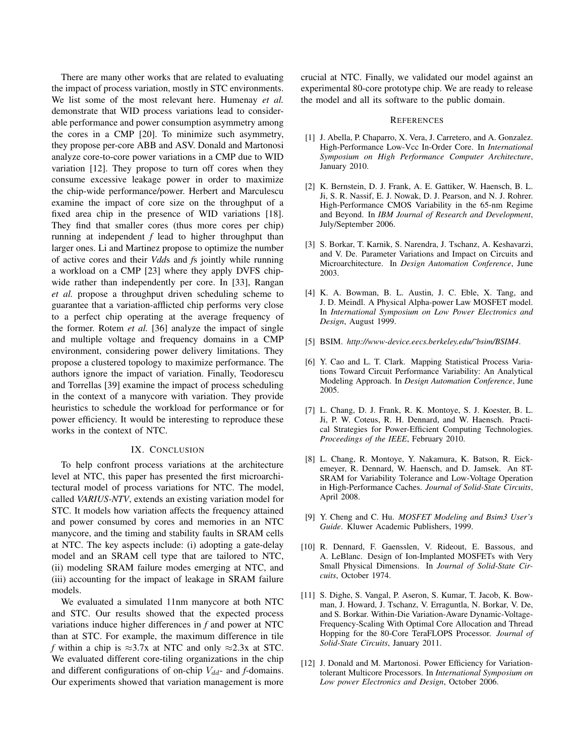There are many other works that are related to evaluating the impact of process variation, mostly in STC environments. We list some of the most relevant here. Humenay *et al.* demonstrate that WID process variations lead to considerable performance and power consumption asymmetry among the cores in a CMP [20]. To minimize such asymmetry, they propose per-core ABB and ASV. Donald and Martonosi analyze core-to-core power variations in a CMP due to WID variation [12]. They propose to turn off cores when they consume excessive leakage power in order to maximize the chip-wide performance/power. Herbert and Marculescu examine the impact of core size on the throughput of a fixed area chip in the presence of WID variations [18]. They find that smaller cores (thus more cores per chip) running at independent *f* lead to higher throughput than larger ones. Li and Martinez propose to optimize the number of active cores and their *Vdd*s and *f*s jointly while running a workload on a CMP [23] where they apply DVFS chipwide rather than independently per core. In [33], Rangan *et al.* propose a throughput driven scheduling scheme to guarantee that a variation-afflicted chip performs very close to a perfect chip operating at the average frequency of the former. Rotem *et al.* [36] analyze the impact of single and multiple voltage and frequency domains in a CMP environment, considering power delivery limitations. They propose a clustered topology to maximize performance. The authors ignore the impact of variation. Finally, Teodorescu and Torrellas [39] examine the impact of process scheduling in the context of a manycore with variation. They provide heuristics to schedule the workload for performance or for power efficiency. It would be interesting to reproduce these works in the context of NTC.

## IX. CONCLUSION

To help confront process variations at the architecture level at NTC, this paper has presented the first microarchitectural model of process variations for NTC. The model, called *VARIUS-NTV*, extends an existing variation model for STC. It models how variation affects the frequency attained and power consumed by cores and memories in an NTC manycore, and the timing and stability faults in SRAM cells at NTC. The key aspects include: (i) adopting a gate-delay model and an SRAM cell type that are tailored to NTC, (ii) modeling SRAM failure modes emerging at NTC, and (iii) accounting for the impact of leakage in SRAM failure models.

We evaluated a simulated 11nm manycore at both NTC and STC. Our results showed that the expected process variations induce higher differences in *f* and power at NTC than at STC. For example, the maximum difference in tile *f* within a chip is  $\approx 3.7x$  at NTC and only  $\approx 2.3x$  at STC. We evaluated different core-tiling organizations in the chip and different configurations of on-chip  $V_{dd}$ - and *f*-domains. Our experiments showed that variation management is more crucial at NTC. Finally, we validated our model against an experimental 80-core prototype chip. We are ready to release the model and all its software to the public domain.

#### **REFERENCES**

- [1] J. Abella, P. Chaparro, X. Vera, J. Carretero, and A. Gonzalez. High-Performance Low-Vcc In-Order Core. In *International Symposium on High Performance Computer Architecture*, January 2010.
- [2] K. Bernstein, D. J. Frank, A. E. Gattiker, W. Haensch, B. L. Ji, S. R. Nassif, E. J. Nowak, D. J. Pearson, and N. J. Rohrer. High-Performance CMOS Variability in the 65-nm Regime and Beyond. In *IBM Journal of Research and Development*, July/September 2006.
- [3] S. Borkar, T. Karnik, S. Narendra, J. Tschanz, A. Keshavarzi, and V. De. Parameter Variations and Impact on Circuits and Microarchitecture. In *Design Automation Conference*, June 2003.
- [4] K. A. Bowman, B. L. Austin, J. C. Eble, X. Tang, and J. D. Meindl. A Physical Alpha-power Law MOSFET model. In *International Symposium on Low Power Electronics and Design*, August 1999.
- [5] BSIM. *http://www-device.eecs.berkeley.edu/˜bsim/BSIM4*.
- [6] Y. Cao and L. T. Clark. Mapping Statistical Process Variations Toward Circuit Performance Variability: An Analytical Modeling Approach. In *Design Automation Conference*, June 2005.
- [7] L. Chang, D. J. Frank, R. K. Montoye, S. J. Koester, B. L. Ji, P. W. Coteus, R. H. Dennard, and W. Haensch. Practical Strategies for Power-Efficient Computing Technologies. *Proceedings of the IEEE*, February 2010.
- [8] L. Chang, R. Montoye, Y. Nakamura, K. Batson, R. Eickemeyer, R. Dennard, W. Haensch, and D. Jamsek. An 8T-SRAM for Variability Tolerance and Low-Voltage Operation in High-Performance Caches. *Journal of Solid-State Circuits*, April 2008.
- [9] Y. Cheng and C. Hu. *MOSFET Modeling and Bsim3 User's Guide*. Kluwer Academic Publishers, 1999.
- [10] R. Dennard, F. Gaensslen, V. Rideout, E. Bassous, and A. LeBlanc. Design of Ion-Implanted MOSFETs with Very Small Physical Dimensions. In *Journal of Solid-State Circuits*, October 1974.
- [11] S. Dighe, S. Vangal, P. Aseron, S. Kumar, T. Jacob, K. Bowman, J. Howard, J. Tschanz, V. Erraguntla, N. Borkar, V. De, and S. Borkar. Within-Die Variation-Aware Dynamic-Voltage-Frequency-Scaling With Optimal Core Allocation and Thread Hopping for the 80-Core TeraFLOPS Processor. *Journal of Solid-State Circuits*, January 2011.
- [12] J. Donald and M. Martonosi. Power Efficiency for Variationtolerant Multicore Processors. In *International Symposium on Low power Electronics and Design*, October 2006.